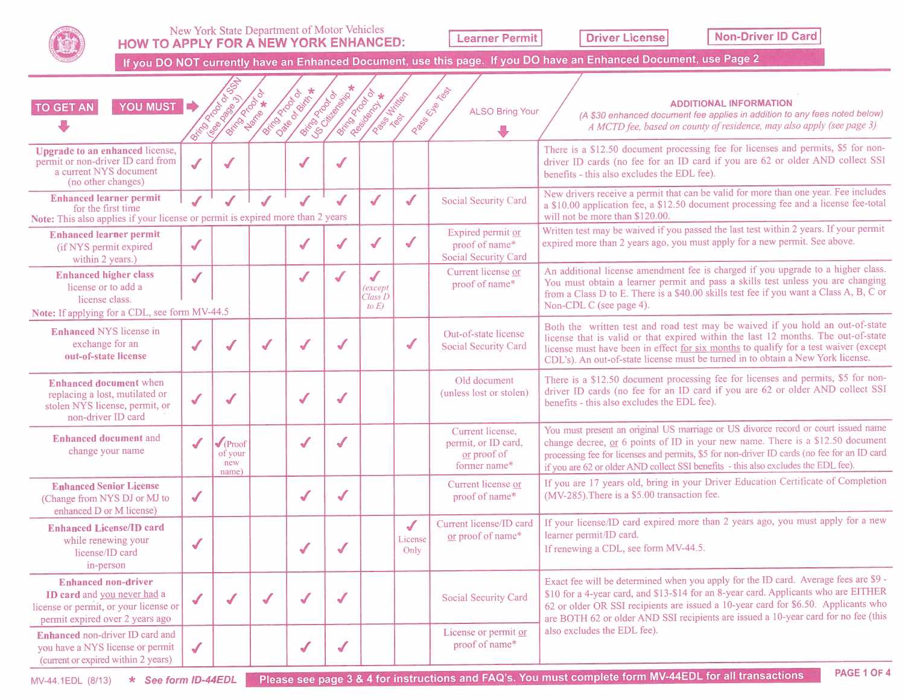## New York State Department of Motor Vehicles HOW TO APPLY FOR A NEW YORK ENHANCED:

Learner Permit

**Driver License I Non-Driver ID Card** 

If you DO NOT currently have an Enhanced Document, use this page. If you DO have an Enhanced Document, use Page 2

|                                                                                                                                        |                      |                                                 |                       |                          |                          |                                                |                                 |                                                                        | If you DO NOT currently have an Enhanced Document, use this page. If you DO have an Enhanced Document, use Page 2                                                                                                                                                                                                                                         |
|----------------------------------------------------------------------------------------------------------------------------------------|----------------------|-------------------------------------------------|-----------------------|--------------------------|--------------------------|------------------------------------------------|---------------------------------|------------------------------------------------------------------------|-----------------------------------------------------------------------------------------------------------------------------------------------------------------------------------------------------------------------------------------------------------------------------------------------------------------------------------------------------------|
| YOU MUST E<br><b>TO GET AN</b>                                                                                                         | British Ricor        | Isea Dago                                       | <b>British Branch</b> | <b>DETAILLE DE CALER</b> | <b>British Propisors</b> | <b>Asia Paradox *</b>                          | <b>DESCRIPTION</b>              | Passage Rep<br><b>ALSO Bring Your</b>                                  | <b>ADDITIONAL INFORMATION</b><br>(A \$30 enhanced document fee applies in addition to any fees noted below)<br>A MCTD fee, based on county of residence, may also apply (see page 3)                                                                                                                                                                      |
| <b>Upgrade to an enhanced license,</b><br>permit or non-driver ID card from<br>a current NYS document<br>(no other changes)            | $\checkmark$         |                                                 |                       |                          |                          |                                                |                                 |                                                                        | There is a \$12.50 document processing fee for licenses and permits, \$5 for non-<br>driver ID cards (no fee for an ID card if you are 62 or older AND collect SSI<br>benefits - this also excludes the EDL fee).                                                                                                                                         |
| <b>Enhanced learner permit</b><br>for the first time<br>Note: This also applies if your license or permit is expired more than 2 years |                      | $\sqrt{2}$                                      |                       | $\sqrt{\frac{1}{2}}$     | $\checkmark$             | $\sqrt{\frac{1}{2}}$                           | $\checkmark$                    | Social Security Card                                                   | New drivers receive a permit that can be valid for more than one year. Fee includes<br>a \$10.00 application fee, a \$12.50 document processing fee and a license fee-total<br>will not be more than \$120.00.                                                                                                                                            |
| <b>Enhanced learner permit</b><br>(if NYS permit expired<br>within 2 years.)                                                           | $\blacklozenge$      |                                                 |                       | $\sqrt{2}$               | √                        | ✔                                              | $\checkmark$                    | Expired permit or<br>proof of name*<br>Social Security Card            | Written test may be waived if you passed the last test within 2 years. If your permit<br>expired more than 2 years ago, you must apply for a new permit. See above.                                                                                                                                                                                       |
| <b>Enhanced higher class</b><br>license or to add a<br>license class.<br>Note: If applying for a CDL, see form MV-44.5                 | $\sqrt{\frac{1}{2}}$ |                                                 |                       | $\sqrt{2}$               |                          | $\checkmark$<br>(except<br>Class D<br>to $E$ ) |                                 | Current license or<br>proof of name*                                   | An additional license amendment fee is charged if you upgrade to a higher class.<br>You must obtain a learner permit and pass a skills test unless you are changing<br>from a Class D to E. There is a \$40.00 skills test fee if you want a Class A, B, C or<br>Non-CDL C (see page 4).                                                                  |
| <b>Enhanced NYS</b> license in<br>exchange for an<br>out-of-state license                                                              | ✔                    |                                                 |                       |                          |                          |                                                | ✔                               | Out-of-state license<br>Social Security Card                           | Both the written test and road test may be waived if you hold an out-of-state<br>license that is valid or that expired within the last 12 months. The out-of-state<br>license must have been in effect for six months to qualify for a test waiver (except<br>CDL's). An out-of-state license must be turned in to obtain a New York license.             |
| <b>Enhanced document</b> when<br>replacing a lost, mutilated or<br>stolen NYS license, permit, or<br>non-driver ID card                | $\sqrt{\frac{1}{2}}$ | ✔                                               |                       | $\checkmark$             |                          |                                                |                                 | Old document<br>(unless lost or stolen)                                | There is a \$12.50 document processing fee for licenses and permits, \$5 for non-<br>driver ID cards (no fee for an ID card if you are 62 or older AND collect SSI<br>benefits - this also excludes the EDL fee).                                                                                                                                         |
| <b>Enhanced document and</b><br>change your name                                                                                       | J                    | $\sqrt{\frac{1}{2}}$<br>of your<br>new<br>name) |                       | $\checkmark$             |                          |                                                |                                 | Current license,<br>permit, or ID card,<br>or proof of<br>former name* | You must present an original US marriage or US divorce record or court issued name<br>change decree, or 6 points of ID in your new name. There is a \$12.50 document<br>processing fee for licenses and permits, \$5 for non-driver ID cards (no fee for an ID card<br>if you are 62 or older AND collect SSI benefits - this also excludes the EDL fee). |
| <b>Enhanced Senior License</b><br>(Change from NYS DJ or MJ to<br>enhanced D or M license)                                             | $\checkmark$         |                                                 |                       | $\checkmark$             | $\sqrt{2}$               |                                                |                                 | Current license or<br>proof of name*                                   | If you are 17 years old, bring in your Driver Education Certificate of Completion<br>(MV-285). There is a \$5.00 transaction fee.                                                                                                                                                                                                                         |
| <b>Enhanced License/ID card</b><br>while renewing your<br>license/ID card<br>in-person                                                 | $\checkmark$         |                                                 |                       | $\sqrt{2}$               |                          |                                                | $\checkmark$<br>License<br>Only | Current license/ID card<br>or proof of name*                           | If your license/ID card expired more than 2 years ago, you must apply for a new<br>learner permit/ID card.<br>If renewing a CDL, see form MV-44.5.                                                                                                                                                                                                        |
| <b>Enhanced non-driver</b><br>ID card and you never had a<br>license or permit, or your license or<br>permit expired over 2 years ago  | $\sqrt{2}$           |                                                 |                       | $\sqrt{2}$               | $\blacklozenge$          |                                                |                                 | Social Security Card                                                   | Exact fee will be determined when you apply for the ID card. Average fees are \$9 -<br>\$10 for a 4-year card, and \$13-\$14 for an 8-year card. Applicants who are EITHER<br>62 or older OR SSI recipients are issued a 10-year card for \$6.50. Applicants who<br>are BOTH 62 or older AND SSI recipients are issued a 10-year card for no fee (this    |
| Enhanced non-driver ID card and<br>you have a NYS license or permit<br>(current or expired within 2 years)                             | $\sqrt{\frac{1}{2}}$ |                                                 |                       | $\checkmark$             | $\checkmark$             |                                                |                                 | License or permit or<br>proof of name*                                 | also excludes the EDL fee).                                                                                                                                                                                                                                                                                                                               |
| * See form ID-44EDL<br>MV-44.1EDL (8/13)                                                                                               |                      |                                                 |                       |                          |                          |                                                |                                 |                                                                        | <b>PAGE 1 OF 4</b><br>Please see page 3 & 4 for instructions and FAQ's. You must complete form MV-44EDL for all transactions                                                                                                                                                                                                                              |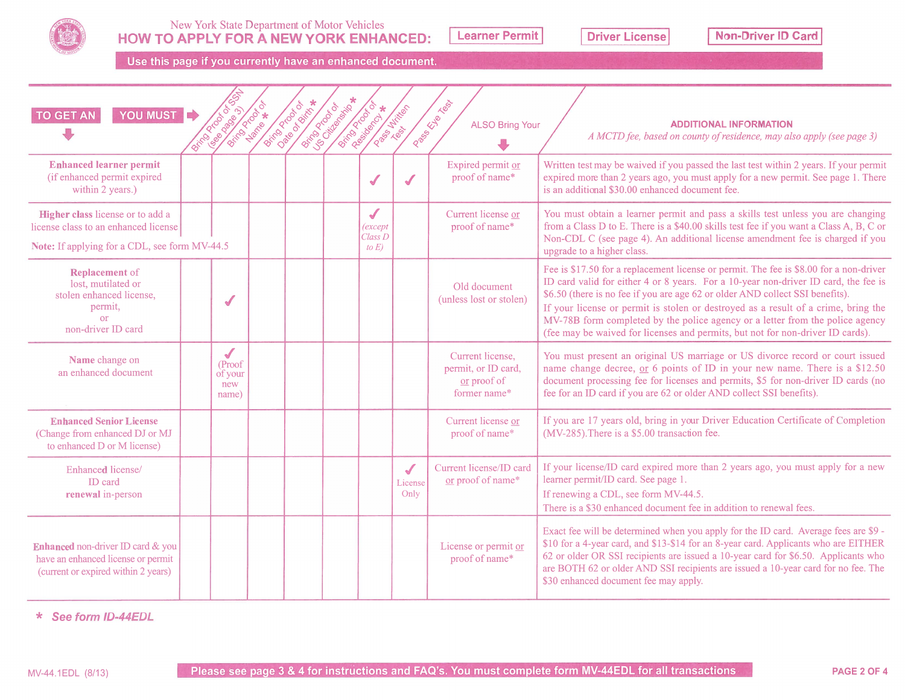

## New York State Department of Motor Vehicles HOW TO APPLY FOR A NEW YORK ENHANCED: Learner Permit Driver License Information Non-Driver ID Card

Use this page if you currently have an enhanced document.

| YOU MUST C<br><b>TO GET AN</b>                                                                                            | British Brook<br>Isea Roads                    | <b>British Branch</b> | <b>Discovered Strategy</b> | <b>Simon de Distriction *</b> | <b>Richard Street</b>                                         | <b>DESCRIPTION</b>                      | Passage River<br><b>ALSO Bring Your</b>                                | <b>ADDITIONAL INFORMATION</b><br>A MCTD fee, based on county of residence, may also apply (see page 3)                                                                                                                                                                                                                                                                                                                                                                                                                  |
|---------------------------------------------------------------------------------------------------------------------------|------------------------------------------------|-----------------------|----------------------------|-------------------------------|---------------------------------------------------------------|-----------------------------------------|------------------------------------------------------------------------|-------------------------------------------------------------------------------------------------------------------------------------------------------------------------------------------------------------------------------------------------------------------------------------------------------------------------------------------------------------------------------------------------------------------------------------------------------------------------------------------------------------------------|
| <b>Enhanced learner permit</b><br>(if enhanced permit expired<br>within 2 years.)                                         |                                                |                       |                            |                               | $\checkmark$                                                  | ✔                                       | Expired permit or<br>proof of name*                                    | Written test may be waived if you passed the last test within 2 years. If your permit<br>expired more than 2 years ago, you must apply for a new permit. See page 1. There<br>is an additional \$30.00 enhanced document fee.                                                                                                                                                                                                                                                                                           |
| Higher class license or to add a<br>license class to an enhanced license<br>Note: If applying for a CDL, see form MV-44.5 |                                                |                       |                            |                               | $\sqrt{\frac{1}{2}}$<br><i>(except</i><br>Class D<br>to $E$ ) |                                         | Current license or<br>proof of name*                                   | You must obtain a learner permit and pass a skills test unless you are changing<br>from a Class D to E. There is a \$40.00 skills test fee if you want a Class A, B, C or<br>Non-CDL C (see page 4). An additional license amendment fee is charged if you<br>upgrade to a higher class.                                                                                                                                                                                                                                |
| <b>Replacement</b> of<br>lost, mutilated or<br>stolen enhanced license,<br>permit,<br>or<br>non-driver ID card            | $\sqrt{2}$                                     |                       |                            |                               |                                                               |                                         | Old document<br>(unless lost or stolen)                                | Fee is \$17.50 for a replacement license or permit. The fee is \$8.00 for a non-driver<br>ID card valid for either 4 or 8 years. For a 10-year non-driver ID card, the fee is<br>\$6.50 (there is no fee if you are age 62 or older AND collect SSI benefits).<br>If your license or permit is stolen or destroyed as a result of a crime, bring the<br>MV-78B form completed by the police agency or a letter from the police agency<br>(fee may be waived for licenses and permits, but not for non-driver ID cards). |
| Name change on<br>an enhanced document                                                                                    | $\sqrt{}$<br>(Proof<br>of your<br>new<br>name) |                       |                            |                               |                                                               |                                         | Current license,<br>permit, or ID card,<br>or proof of<br>former name* | You must present an original US marriage or US divorce record or court issued<br>name change decree, or 6 points of ID in your new name. There is a \$12.50<br>document processing fee for licenses and permits, \$5 for non-driver ID cards (no<br>fee for an ID card if you are 62 or older AND collect SSI benefits).                                                                                                                                                                                                |
| <b>Enhanced Senior License</b><br>(Change from enhanced DJ or MJ<br>to enhanced D or M license)                           |                                                |                       |                            |                               |                                                               |                                         | Current license or<br>proof of name*                                   | If you are 17 years old, bring in your Driver Education Certificate of Completion<br>(MV-285). There is a \$5.00 transaction fee.                                                                                                                                                                                                                                                                                                                                                                                       |
| Enhanced license/<br><b>ID</b> card<br>renewal in-person                                                                  |                                                |                       |                            |                               |                                                               | $\sqrt{\frac{1}{2}}$<br>License<br>Only | Current license/ID card<br>or proof of name*                           | If your license/ID card expired more than 2 years ago, you must apply for a new<br>learner permit/ID card. See page 1.<br>If renewing a CDL, see form MV-44.5.<br>There is a \$30 enhanced document fee in addition to renewal fees.                                                                                                                                                                                                                                                                                    |
| Enhanced non-driver ID card & you<br>have an enhanced license or permit<br>(current or expired within 2 years)            |                                                |                       |                            |                               |                                                               |                                         | License or permit or<br>proof of name*                                 | Exact fee will be determined when you apply for the ID card. Average fees are \$9 -<br>\$10 for a 4-year card, and \$13-\$14 for an 8-year card. Applicants who are EITHER<br>62 or older OR SSI recipients are issued a 10-year card for \$6.50. Applicants who<br>are BOTH 62 or older AND SSI recipients are issued a 10-year card for no fee. The<br>\$30 enhanced document fee may apply.                                                                                                                          |

\* See form ID-44EDL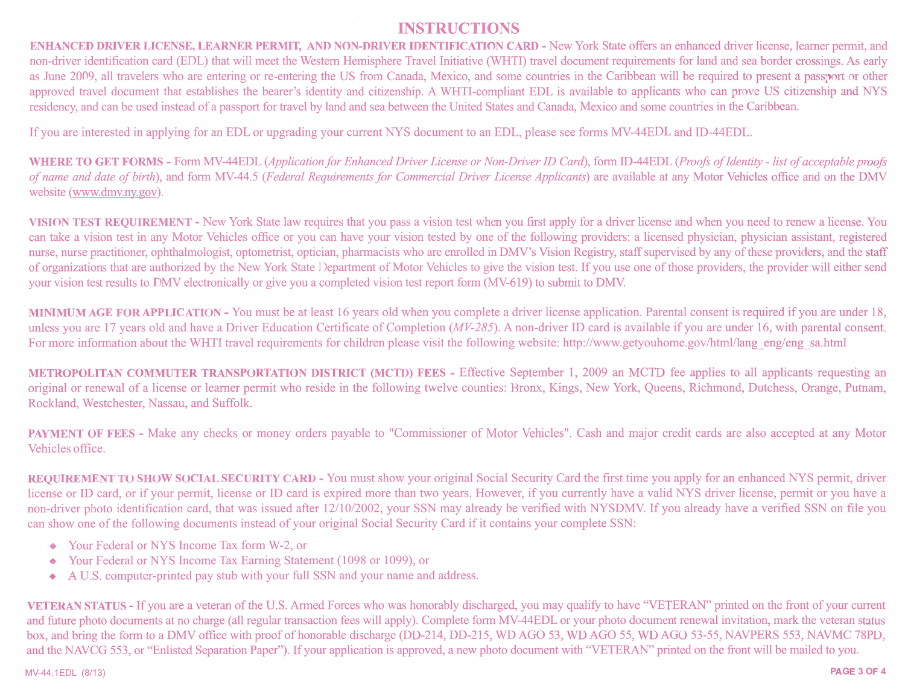## INSTRUCTIONS

ENHANCED DRIVER LICENSE, LEARNER PERMIT, AND NON-DRIVER IDENTIFICATION CARD - New York State offers an enhanced driver license, learner permit, and non-driver identification card (EDL) that will meet the Western Hemisphere Travel Initiative (WHTI) travel document requirements for land and sea border crossings. As early as June 2009, all travelers who are entering or re-entering the US from Canada, Mexico, and some countries in the Caribbean will be required to present a passport or other approved travel document that establishes the bearer's identity and citizenship. A WHTI-compliant EDL is available to applicants who can prove US citizenship and NYS residency, and can be used instead of a passport for travel by land and sea between the United States and Canada, Mexico and some countries in the Caribbean.

Ifyou are interested in applying for an EDL or upgrading your current NYS document to an EDL, please see forms MV-44EDL and ID-44EDL.

WHERE TO GET FORMS - Form MV-44EDL (Application for Enhanced Driver License or Non-Driver ID Card), form ID-44EDL (Proofs of Identity - list of acceptable proofs of name and date of birth), and form MV-44.5 (Federal Requirements for Commercial Driver License Applicants) are available at any Motor Vehicles office and on the DMV website (www.dmv.ny.gov).

VISION TEST REQUIREMENT -New York State law requires that you pass a vision test when you first apply for a driver license and when you need to renew a license. You can take a vision test in any Motor Vehicles office or you can have your vision tested by one of the following providers: a licensed physician, physician assistant, registered nurse, nurse practitioner, ophthalmologist, optometrist, optician, pharmacists who are enrolled in DMV's Vision Registry, staff supervised by any of these providers, and the staff of organizations that are authorized by the New York State Department of Motor Vehicles to give the vision test. If you use one ofthose providers, the provider will either send your vision test results to DMV electronically or give you a completed vision test report form (MV-619) to submit to DMV.

MINIMUM AGE FOR APPLICATION -You must be at least 16 years old when you complete a driver license application. Parental consent is required if you are under 18, unless you are 17 years old and have a Driver Education Certificate of Completion (MV-285). A non-driver ID card is available if you are under 16, with parental consent. For more information about the WHTI travel requirements for children please visit the following website: http://www.getyouhome.gov/html/lang\_eng/eng\_sa.html

METROPOLITAN COMMUTER TRANSPORTATION DISTRICT (MCTD) FEES - Effective September 1, 2009 an MCTD fee applies to all applicants requesting an original or renewal of a license or learner permit who reside in the following twelve counties: Bronx, Kings, New York, Queens, Richmond, Dutchess, Orange, Putnam, Rockland, Westchester, Nassau, and Suffolk.

PAYMENT OF FEES - Make any checks or money orders payable to "Commissioner of Motor Vehicles". Cash and major credit cards are also accepted at any Motor Vehicles office.

REQUIREMENT TO SHOW SOCIAL SECURITY CARD - You must show your original Social Security Card the first time you apply for an enhanced NYS permit, driver license or ID card, or if your permit, license or ID card is expired more than two years. However, if you currently have a valid NYS driver license, permit or you have a non-driver photo identification card, that was issued after 12/10/2002, your SSN may already be verified with NYSDMV. If you already have a verified SSN on file you can show one of the following documents instead of your original Social Security Card if it contains your complete SSN:

- . Your Federal or NYS Income Tax form W-2, or
- . Your Federal or NYS Income Tax Earning Statement (1098 or 1099), or
- A U.S. computer-printed pay stub with your full SSN and your name and address.

VETERAN STATUS - Ifyou are a veteran ofthe U.S. Armed Forces who was honorably discharged, you may qualify to have "VETERAN" printed on the front ofyour current and future photo documents at no charge (all regular transaction fees will apply). Complete form MV-44EDL or your photo document renewal invitation, mark the veteran status box, and bring the form to a DMV office with proof of honorable discharge (DD-214, DD-215, WD AGO 53, WD AGO 55, WD AGO 53-55, NAVPERS 553, NAVMC 78PD, and the NAVCG 553, or "Enlisted Separation Paper"). If your application is approved, a new photo document with "VETERAN" printed on the front will be mailed to you.